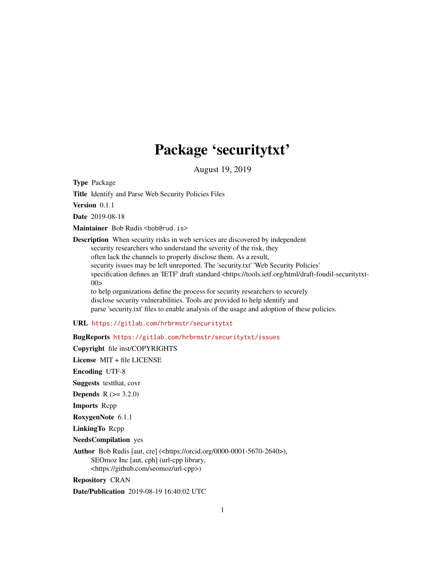## Package 'securitytxt'

August 19, 2019

<span id="page-0-0"></span>Type Package

Title Identify and Parse Web Security Policies Files

Version 0.1.1

Date 2019-08-18

Maintainer Bob Rudis <br/>bob@rud.is>

Description When security risks in web services are discovered by independent security researchers who understand the severity of the risk, they often lack the channels to properly disclose them. As a result, security issues may be left unreported. The 'security.txt' 'Web Security Policies' specification defines an 'IETF' draft standard <https://tools.ietf.org/html/draft-foudil-securitytxt- $00>$ to help organizations define the process for security researchers to securely

disclose security vulnerabilities. Tools are provided to help identify and parse 'security.txt' files to enable analysis of the usage and adoption of these policies.

#### URL <https://gitlab.com/hrbrmstr/securitytxt>

BugReports <https://gitlab.com/hrbrmstr/securitytxt/issues>

Copyright file inst/COPYRIGHTS

License MIT + file LICENSE

Encoding UTF-8

Suggests testthat, covr

**Depends** R  $(>= 3.2.0)$ 

Imports Rcpp

RoxygenNote 6.1.1

LinkingTo Rcpp

NeedsCompilation yes

Author Bob Rudis [aut, cre] (<https://orcid.org/0000-0001-5670-2640>), SEOmoz Inc [aut, cph] (url-cpp library, <https://github.com/seomoz/url-cpp>)

Repository CRAN

Date/Publication 2019-08-19 16:40:02 UTC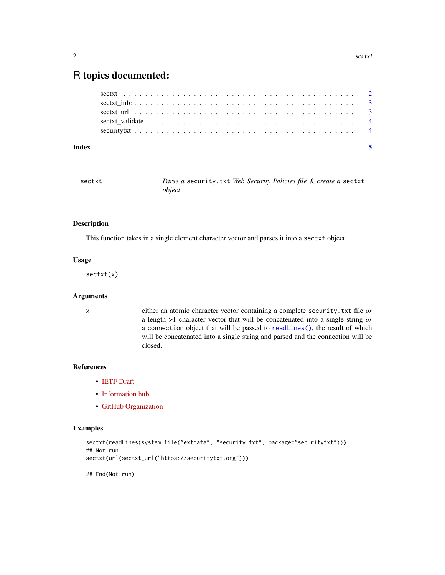### <span id="page-1-0"></span>R topics documented:

| Index |  |  |
|-------|--|--|
|       |  |  |
|       |  |  |
|       |  |  |
|       |  |  |
|       |  |  |

<span id="page-1-1"></span>

| sectxt | <i>Parse a security.txt Web Security Policies file &amp; create a sectxt</i> |
|--------|------------------------------------------------------------------------------|
|        | obiect                                                                       |

#### Description

This function takes in a single element character vector and parses it into a sectxt object.

#### Usage

sectxt(x)

#### Arguments

x either an atomic character vector containing a complete security.txt file *or* a length >1 character vector that will be concatenated into a single string *or* a connection object that will be passed to [readLines\(\)](#page-0-0), the result of which will be concatenated into a single string and parsed and the connection will be closed.

#### References

- [IETF Draft](https://tools.ietf.org/html/draft-foudil-securitytxt-00)
- [Information hub](https://securitytxt.org/)
- [GitHub Organization](https://github.com/securitytxt)

#### Examples

```
sectxt(readLines(system.file("extdata", "security.txt", package="securitytxt")))
## Not run:
sectxt(url(sectxt_url("https://securitytxt.org")))
```
## End(Not run)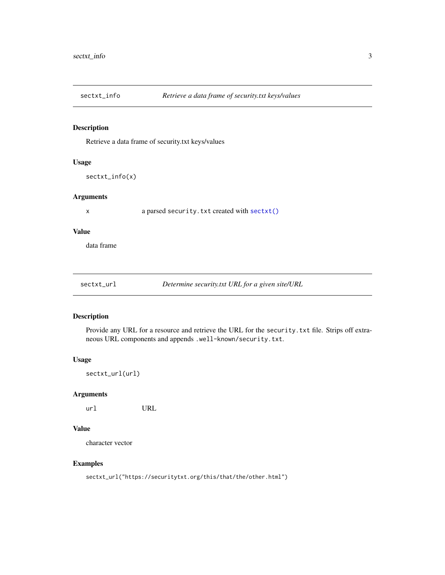<span id="page-2-0"></span>

#### Description

Retrieve a data frame of security.txt keys/values

#### Usage

sectxt\_info(x)

#### Arguments

x a parsed security.txt created with [sectxt\(\)](#page-1-1)

#### Value

data frame

sectxt\_url *Determine security.txt URL for a given site/URL*

#### Description

Provide any URL for a resource and retrieve the URL for the security.txt file. Strips off extraneous URL components and appends .well-known/security.txt.

#### Usage

sectxt\_url(url)

#### Arguments

url URL

#### Value

character vector

#### Examples

sectxt\_url("https://securitytxt.org/this/that/the/other.html")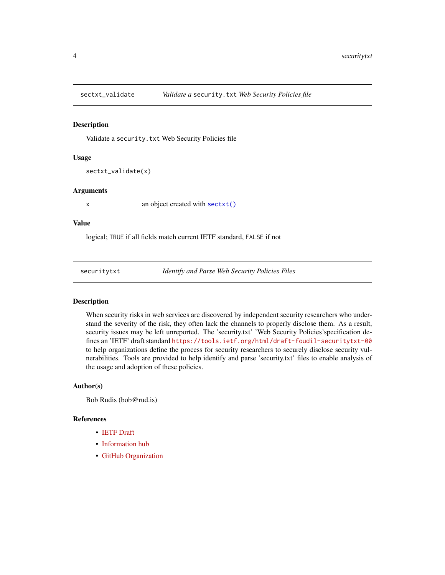<span id="page-3-0"></span>

#### Description

Validate a security.txt Web Security Policies file

#### Usage

```
sectxt_validate(x)
```
#### Arguments

x an object created with [sectxt\(\)](#page-1-1)

#### Value

logical; TRUE if all fields match current IETF standard, FALSE if not

securitytxt *Identify and Parse Web Security Policies Files*

#### Description

When security risks in web services are discovered by independent security researchers who understand the severity of the risk, they often lack the channels to properly disclose them. As a result, security issues may be left unreported. The 'security.txt' 'Web Security Policies' specification defines an 'IETF' draft standard <https://tools.ietf.org/html/draft-foudil-securitytxt-00> to help organizations define the process for security researchers to securely disclose security vulnerabilities. Tools are provided to help identify and parse 'security.txt' files to enable analysis of the usage and adoption of these policies.

#### Author(s)

Bob Rudis (bob@rud.is)

#### References

- [IETF Draft](https://tools.ietf.org/html/draft-foudil-securitytxt-00)
- [Information hub](https://securitytxt.org/)
- [GitHub Organization](https://github.com/securitytxt)